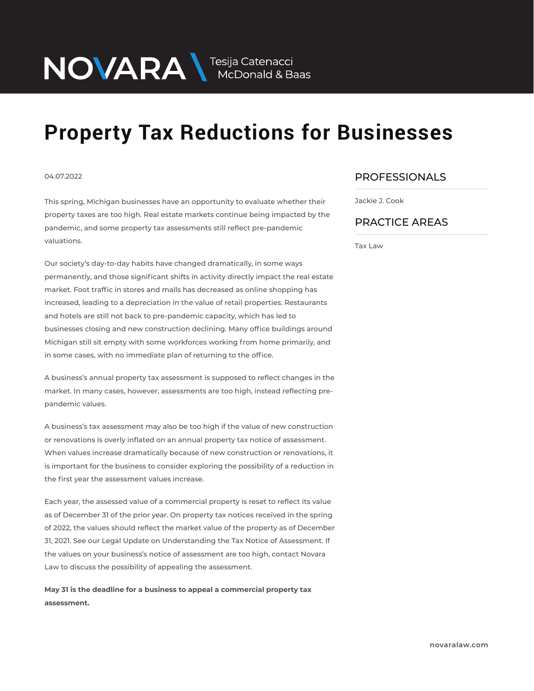NOVARA MEDOnald & Baas

## **Property Tax Reductions for Businesses**

## 04.07.2022

This spring, Michigan businesses have an opportunity to evaluate whether their property taxes are too high. Real estate markets continue being impacted by the pandemic, and some property tax assessments still reflect pre-pandemic valuations.

Our society's day-to-day habits have changed dramatically, in some ways permanently, and those significant shifts in activity directly impact the real estate market. Foot traffic in stores and malls has decreased as online shopping has increased, leading to a depreciation in the value of retail properties. Restaurants and hotels are still not back to pre-pandemic capacity, which has led to businesses closing and new construction declining. Many office buildings around Michigan still sit empty with some workforces working from home primarily, and in some cases, with no immediate plan of returning to the office.

A business's annual property tax assessment is supposed to reflect changes in the market. In many cases, however, assessments are too high, instead reflecting prepandemic values.

A business's tax assessment may also be too high if the value of new construction or renovations is overly inflated on an annual property tax notice of assessment. When values increase dramatically because of new construction or renovations, it is important for the business to consider exploring the possibility of a reduction in the first year the assessment values increase.

Each year, the assessed value of a commercial property is reset to reflect its value as of December 31 of the prior year. On property tax notices received in the spring of 2022, the values should reflect the market value of the property as of December 31, 2021. See our Legal Update on Understanding the Tax Notice of Assessment. If the values on your business's notice of assessment are too high, contact Novara Law to discuss the possibility of appealing the assessment.

**May 31 is the deadline for a business to appeal a commercial property tax assessment.** 

## PROFESSIONALS  $\overline{\phantom{a}}$

Jackie J. Cook

## PRACTICE AREAS  $\overline{\phantom{a}}$

Tax Law